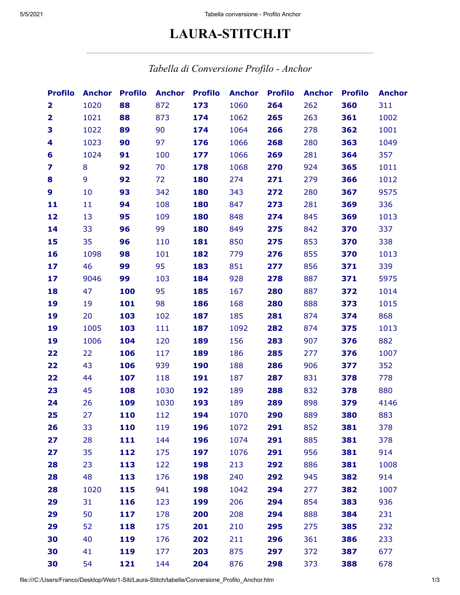## **LAURA-STITCH.IT**

## *Tabella di Conversione Profilo - Anchor*

| <b>Profilo</b>          | <b>Anchor</b> | <b>Profilo</b> | <b>Anchor</b> | <b>Profilo</b> | <b>Anchor</b> | <b>Profilo</b> | <b>Anchor</b> | <b>Profilo</b> | <b>Anchor</b> |
|-------------------------|---------------|----------------|---------------|----------------|---------------|----------------|---------------|----------------|---------------|
| $\overline{\mathbf{2}}$ | 1020          | 88             | 872           | 173            | 1060          | 264            | 262           | 360            | 311           |
| 2                       | 1021          | 88             | 873           | 174            | 1062          | 265            | 263           | 361            | 1002          |
| 3                       | 1022          | 89             | 90            | 174            | 1064          | 266            | 278           | 362            | 1001          |
| 4                       | 1023          | 90             | 97            | 176            | 1066          | 268            | 280           | 363            | 1049          |
| 6                       | 1024          | 91             | 100           | 177            | 1066          | 269            | 281           | 364            | 357           |
| 7                       | 8             | 92             | 70            | 178            | 1068          | 270            | 924           | 365            | 1011          |
| 8                       | 9             | 92             | 72            | 180            | 274           | 271            | 279           | 366            | 1012          |
| $\boldsymbol{9}$        | 10            | 93             | 342           | 180            | 343           | 272            | 280           | 367            | 9575          |
| 11                      | 11            | 94             | 108           | 180            | 847           | 273            | 281           | 369            | 336           |
| 12                      | 13            | 95             | 109           | 180            | 848           | 274            | 845           | 369            | 1013          |
| 14                      | 33            | 96             | 99            | 180            | 849           | 275            | 842           | 370            | 337           |
| 15                      | 35            | 96             | 110           | 181            | 850           | 275            | 853           | 370            | 338           |
| 16                      | 1098          | 98             | 101           | 182            | 779           | 276            | 855           | 370            | 1013          |
| 17                      | 46            | 99             | 95            | 183            | 851           | 277            | 856           | 371            | 339           |
| 17                      | 9046          | 99             | 103           | 184            | 928           | 278            | 887           | 371            | 5975          |
| 18                      | 47            | 100            | 95            | 185            | 167           | 280            | 887           | 372            | 1014          |
| 19                      | 19            | 101            | 98            | 186            | 168           | 280            | 888           | 373            | 1015          |
| 19                      | 20            | 103            | 102           | 187            | 185           | 281            | 874           | 374            | 868           |
| 19                      | 1005          | 103            | 111           | 187            | 1092          | 282            | 874           | 375            | 1013          |
| 19                      | 1006          | 104            | 120           | 189            | 156           | 283            | 907           | 376            | 882           |
| 22                      | 22            | 106            | 117           | 189            | 186           | 285            | 277           | 376            | 1007          |
| 22                      | 43            | 106            | 939           | 190            | 188           | 286            | 906           | 377            | 352           |
| 22                      | 44            | 107            | 118           | 191            | 187           | 287            | 831           | 378            | 778           |
| 23                      | 45            | 108            | 1030          | 192            | 189           | 288            | 832           | 378            | 880           |
| 24                      | 26            | 109            | 1030          | 193            | 189           | 289            | 898           | 379            | 4146          |
| 25                      | 27            | 110            | 112           | 194            | 1070          | 290            | 889           | 380            | 883           |
| 26                      | 33            | 110            | 119           | 196            | 1072          | 291            | 852           | 381            | 378           |
| 27                      | 28            | 111            | 144           | 196            | 1074          | 291            | 885           | 381            | 378           |
| 27                      | 35            | 112            | 175           | 197            | 1076          | 291            | 956           | 381            | 914           |
| 28                      | 23            | 113            | 122           | 198            | 213           | 292            | 886           | 381            | 1008          |
| 28                      | 48            | 113            | 176           | 198            | 240           | 292            | 945           | 382            | 914           |
| 28                      | 1020          | 115            | 941           | 198            | 1042          | 294            | 277           | 382            | 1007          |
| 29                      | 31            | 116            | 123           | 199            | 206           | 294            | 854           | 383            | 936           |
| 29                      | 50            | 117            | 178           | 200            | 208           | 294            | 888           | 384            | 231           |
| 29                      | 52            | 118            | 175           | 201            | 210           | 295            | 275           | 385            | 232           |
| 30                      | 40            | 119            | 176           | 202            | 211           | 296            | 361           | 386            | 233           |
| 30                      | 41            | 119            | 177           | 203            | 875           | 297            | 372           | 387            | 677           |
| 30                      | 54            | 121            | 144           | 204            | 876           | 298            | 373           | 388            | 678           |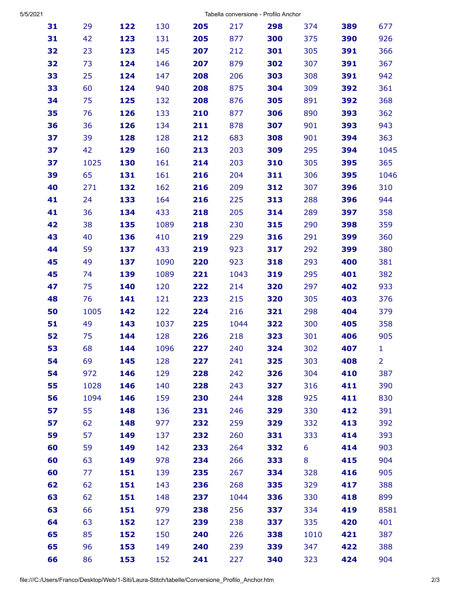| 5/5/2021 |  |
|----------|--|
|          |  |

Tabella conversione - Profilo Anchor

| 31 | 29   | 122 | 130  | 205 | 217  | 298 | 374  | 389 | 677            |
|----|------|-----|------|-----|------|-----|------|-----|----------------|
| 31 | 42   | 123 | 131  | 205 | 877  | 300 | 375  | 390 | 926            |
| 32 | 23   | 123 | 145  | 207 | 212  | 301 | 305  | 391 | 366            |
| 32 | 73   | 124 | 146  | 207 | 879  | 302 | 307  | 391 | 367            |
| 33 | 25   | 124 | 147  | 208 | 206  | 303 | 308  | 391 | 942            |
| 33 | 60   | 124 | 940  | 208 | 875  | 304 | 309  | 392 | 361            |
| 34 | 75   | 125 | 132  | 208 | 876  | 305 | 891  | 392 | 368            |
| 35 | 76   | 126 | 133  | 210 | 877  | 306 | 890  | 393 | 362            |
| 36 | 36   | 126 | 134  | 211 | 878  | 307 | 901  | 393 | 943            |
| 37 | 39   | 128 | 128  | 212 | 683  | 308 | 901  | 394 | 363            |
| 37 | 42   | 129 | 160  | 213 | 203  | 309 | 295  | 394 | 1045           |
| 37 | 1025 | 130 | 161  | 214 | 203  | 310 | 305  | 395 | 365            |
| 39 | 65   | 131 | 161  | 216 | 204  | 311 | 306  | 395 | 1046           |
| 40 | 271  | 132 | 162  | 216 | 209  | 312 | 307  | 396 | 310            |
| 41 | 24   | 133 | 164  | 216 | 225  | 313 | 288  | 396 | 944            |
| 41 | 36   | 134 | 433  | 218 | 205  | 314 | 289  | 397 | 358            |
| 42 | 38   | 135 | 1089 | 218 | 230  | 315 | 290  | 398 | 359            |
| 43 | 40   | 136 | 410  | 219 | 229  | 316 | 291  | 399 | 360            |
| 44 | 59   | 137 | 433  | 219 | 923  | 317 | 292  | 399 | 380            |
| 45 | 49   | 137 | 1090 | 220 | 923  | 318 | 293  | 400 | 381            |
| 45 | 74   | 139 | 1089 | 221 | 1043 | 319 | 295  | 401 | 382            |
| 47 | 75   | 140 | 120  | 222 | 214  | 320 | 297  | 402 | 933            |
| 48 | 76   | 141 | 121  | 223 | 215  | 320 | 305  | 403 | 376            |
| 50 | 1005 | 142 | 122  | 224 | 216  | 321 | 298  | 404 | 379            |
| 51 | 49   | 143 | 1037 | 225 | 1044 | 322 | 300  | 405 | 358            |
| 52 | 75   | 144 | 128  | 226 | 218  | 323 | 301  | 406 | 905            |
| 53 | 68   | 144 | 1096 | 227 | 240  | 324 | 302  | 407 | $\mathbf{1}$   |
| 54 | 69   | 145 | 128  | 227 | 241  | 325 | 303  | 408 | $\overline{2}$ |
| 54 | 972  | 146 | 129  | 228 | 242  | 326 | 304  | 410 | 387            |
| 55 | 1028 | 146 | 140  | 228 | 243  | 327 | 316  | 411 | 390            |
| 56 | 1094 | 146 | 159  | 230 | 244  | 328 | 925  | 411 | 830            |
| 57 | 55   | 148 | 136  | 231 | 246  | 329 | 330  | 412 | 391            |
| 57 | 62   | 148 | 977  | 232 | 259  | 329 | 332  | 413 | 392            |
| 59 | 57   | 149 | 137  | 232 | 260  | 331 | 333  | 414 | 393            |
| 60 | 59   | 149 | 142  | 233 | 264  | 332 | 6    | 414 | 903            |
| 60 | 63   | 149 | 978  | 234 | 266  | 333 | 8    | 415 | 904            |
| 60 | 77   | 151 | 139  | 235 | 267  | 334 | 328  | 416 | 905            |
| 62 | 62   | 151 | 143  | 236 | 268  | 335 | 329  | 417 | 388            |
| 63 | 62   | 151 | 148  | 237 | 1044 | 336 | 330  | 418 | 899            |
| 63 | 66   | 151 | 979  | 238 | 256  | 337 | 334  | 419 | 8581           |
| 64 | 63   | 152 | 127  | 239 | 238  | 337 | 335  | 420 | 401            |
| 65 | 85   | 152 | 150  | 240 | 226  | 338 | 1010 | 421 | 387            |
| 65 | 96   | 153 | 149  | 240 | 239  | 339 | 347  | 422 | 388            |
| 66 | 86   | 153 | 152  | 241 | 227  | 340 | 323  | 424 | 904            |